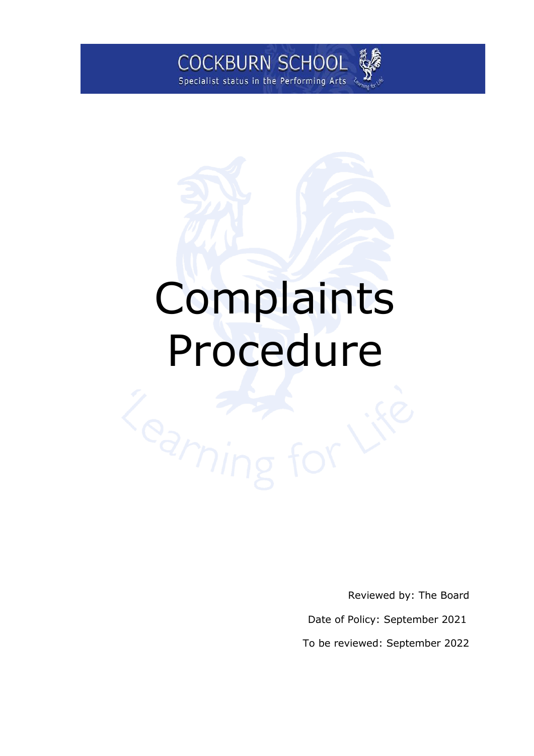

# Complaints Procedure

Reviewed by: The Board

Date of Policy: September 2021

To be reviewed: September 2022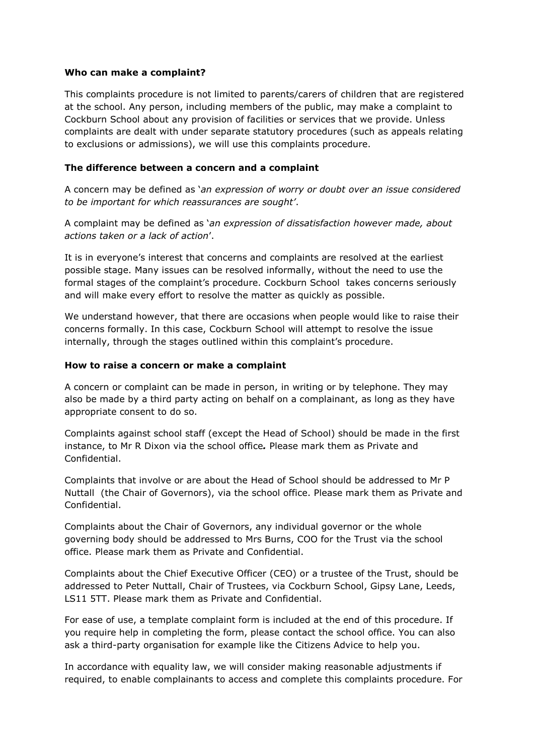#### **Who can make a complaint?**

This complaints procedure is not limited to parents/carers of children that are registered at the school. Any person, including members of the public, may make a complaint to Cockburn School about any provision of facilities or services that we provide. Unless complaints are dealt with under separate statutory procedures (such as appeals relating to exclusions or admissions), we will use this complaints procedure.

#### **The difference between a concern and a complaint**

A concern may be defined as '*an expression of worry or doubt over an issue considered to be important for which reassurances are sought'*.

A complaint may be defined as '*an expression of dissatisfaction however made, about actions taken or a lack of action*'.

It is in everyone's interest that concerns and complaints are resolved at the earliest possible stage. Many issues can be resolved informally, without the need to use the formal stages of the complaint's procedure. Cockburn School takes concerns seriously and will make every effort to resolve the matter as quickly as possible.

We understand however, that there are occasions when people would like to raise their concerns formally. In this case, Cockburn School will attempt to resolve the issue internally, through the stages outlined within this complaint's procedure.

#### **How to raise a concern or make a complaint**

A concern or complaint can be made in person, in writing or by telephone. They may also be made by a third party acting on behalf on a complainant, as long as they have appropriate consent to do so.

Complaints against school staff (except the Head of School) should be made in the first instance, to Mr R Dixon via the school office*.* Please mark them as Private and Confidential.

Complaints that involve or are about the Head of School should be addressed to Mr P Nuttall (the Chair of Governors), via the school office. Please mark them as Private and Confidential.

Complaints about the Chair of Governors, any individual governor or the whole governing body should be addressed to Mrs Burns, COO for the Trust via the school office. Please mark them as Private and Confidential.

Complaints about the Chief Executive Officer (CEO) or a trustee of the Trust, should be addressed to Peter Nuttall, Chair of Trustees, via Cockburn School, Gipsy Lane, Leeds, LS11 5TT. Please mark them as Private and Confidential.

For ease of use, a template complaint form is included at the end of this procedure. If you require help in completing the form, please contact the school office. You can also ask a third-party organisation for example like the Citizens Advice to help you.

In accordance with equality law, we will consider making reasonable adjustments if required, to enable complainants to access and complete this complaints procedure. For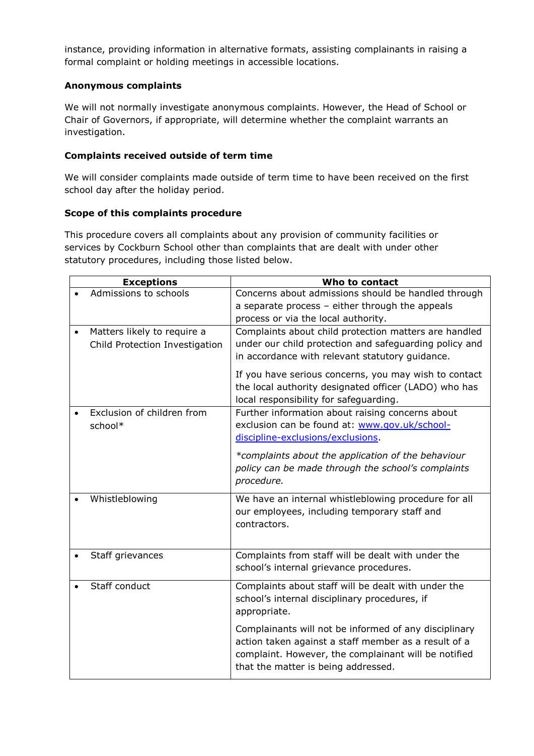instance, providing information in alternative formats, assisting complainants in raising a formal complaint or holding meetings in accessible locations.

### **Anonymous complaints**

We will not normally investigate anonymous complaints. However, the Head of School or Chair of Governors, if appropriate, will determine whether the complaint warrants an investigation.

# **Complaints received outside of term time**

We will consider complaints made outside of term time to have been received on the first school day after the holiday period.

# **Scope of this complaints procedure**

This procedure covers all complaints about any provision of community facilities or services by Cockburn School other than complaints that are dealt with under other statutory procedures, including those listed below.

|           | <b>Exceptions</b>                     | Who to contact                                                                                                                                                                                               |
|-----------|---------------------------------------|--------------------------------------------------------------------------------------------------------------------------------------------------------------------------------------------------------------|
|           | Admissions to schools                 | Concerns about admissions should be handled through                                                                                                                                                          |
|           |                                       | a separate process - either through the appeals                                                                                                                                                              |
|           |                                       | process or via the local authority.                                                                                                                                                                          |
| $\bullet$ | Matters likely to require a           | Complaints about child protection matters are handled                                                                                                                                                        |
|           | Child Protection Investigation        | under our child protection and safeguarding policy and<br>in accordance with relevant statutory guidance.                                                                                                    |
|           |                                       | If you have serious concerns, you may wish to contact<br>the local authority designated officer (LADO) who has<br>local responsibility for safeguarding.                                                     |
|           | Exclusion of children from<br>school* | Further information about raising concerns about<br>exclusion can be found at: www.gov.uk/school-<br>discipline-exclusions/exclusions.                                                                       |
|           |                                       | *complaints about the application of the behaviour<br>policy can be made through the school's complaints<br>procedure.                                                                                       |
|           | Whistleblowing                        | We have an internal whistleblowing procedure for all<br>our employees, including temporary staff and<br>contractors.                                                                                         |
|           | Staff grievances                      | Complaints from staff will be dealt with under the<br>school's internal grievance procedures.                                                                                                                |
|           | Staff conduct                         | Complaints about staff will be dealt with under the<br>school's internal disciplinary procedures, if<br>appropriate.                                                                                         |
|           |                                       | Complainants will not be informed of any disciplinary<br>action taken against a staff member as a result of a<br>complaint. However, the complainant will be notified<br>that the matter is being addressed. |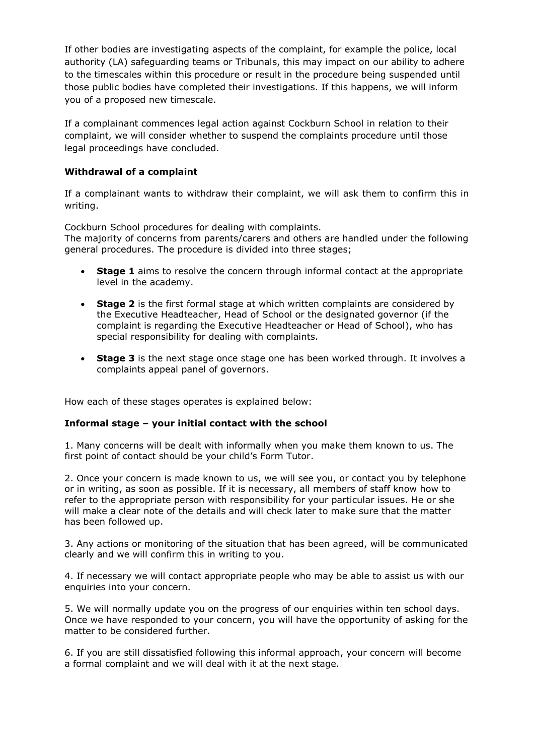If other bodies are investigating aspects of the complaint, for example the police, local authority (LA) safeguarding teams or Tribunals, this may impact on our ability to adhere to the timescales within this procedure or result in the procedure being suspended until those public bodies have completed their investigations. If this happens, we will inform you of a proposed new timescale.

If a complainant commences legal action against Cockburn School in relation to their complaint, we will consider whether to suspend the complaints procedure until those legal proceedings have concluded.

#### **Withdrawal of a complaint**

If a complainant wants to withdraw their complaint, we will ask them to confirm this in writing.

Cockburn School procedures for dealing with complaints. The majority of concerns from parents/carers and others are handled under the following general procedures. The procedure is divided into three stages;

- **Stage 1** aims to resolve the concern through informal contact at the appropriate level in the academy.
- **Stage 2** is the first formal stage at which written complaints are considered by the Executive Headteacher, Head of School or the designated governor (if the complaint is regarding the Executive Headteacher or Head of School), who has special responsibility for dealing with complaints.
- **Stage 3** is the next stage once stage one has been worked through. It involves a complaints appeal panel of governors.

How each of these stages operates is explained below:

#### **Informal stage – your initial contact with the school**

1. Many concerns will be dealt with informally when you make them known to us. The first point of contact should be your child's Form Tutor.

2. Once your concern is made known to us, we will see you, or contact you by telephone or in writing, as soon as possible. If it is necessary, all members of staff know how to refer to the appropriate person with responsibility for your particular issues. He or she will make a clear note of the details and will check later to make sure that the matter has been followed up.

3. Any actions or monitoring of the situation that has been agreed, will be communicated clearly and we will confirm this in writing to you.

4. If necessary we will contact appropriate people who may be able to assist us with our enquiries into your concern.

5. We will normally update you on the progress of our enquiries within ten school days. Once we have responded to your concern, you will have the opportunity of asking for the matter to be considered further.

6. If you are still dissatisfied following this informal approach, your concern will become a formal complaint and we will deal with it at the next stage.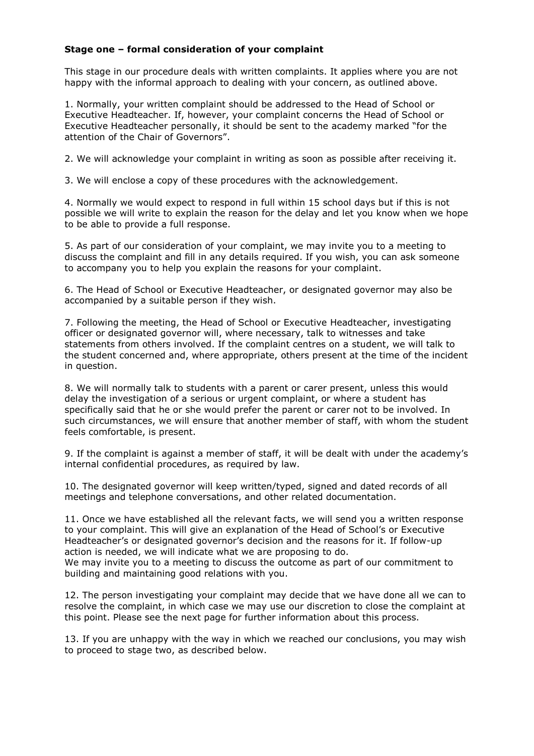#### **Stage one – formal consideration of your complaint**

This stage in our procedure deals with written complaints. It applies where you are not happy with the informal approach to dealing with your concern, as outlined above.

1. Normally, your written complaint should be addressed to the Head of School or Executive Headteacher. If, however, your complaint concerns the Head of School or Executive Headteacher personally, it should be sent to the academy marked "for the attention of the Chair of Governors".

2. We will acknowledge your complaint in writing as soon as possible after receiving it.

3. We will enclose a copy of these procedures with the acknowledgement.

4. Normally we would expect to respond in full within 15 school days but if this is not possible we will write to explain the reason for the delay and let you know when we hope to be able to provide a full response.

5. As part of our consideration of your complaint, we may invite you to a meeting to discuss the complaint and fill in any details required. If you wish, you can ask someone to accompany you to help you explain the reasons for your complaint.

6. The Head of School or Executive Headteacher, or designated governor may also be accompanied by a suitable person if they wish.

7. Following the meeting, the Head of School or Executive Headteacher, investigating officer or designated governor will, where necessary, talk to witnesses and take statements from others involved. If the complaint centres on a student, we will talk to the student concerned and, where appropriate, others present at the time of the incident in question.

8. We will normally talk to students with a parent or carer present, unless this would delay the investigation of a serious or urgent complaint, or where a student has specifically said that he or she would prefer the parent or carer not to be involved. In such circumstances, we will ensure that another member of staff, with whom the student feels comfortable, is present.

9. If the complaint is against a member of staff, it will be dealt with under the academy's internal confidential procedures, as required by law.

10. The designated governor will keep written/typed, signed and dated records of all meetings and telephone conversations, and other related documentation.

11. Once we have established all the relevant facts, we will send you a written response to your complaint. This will give an explanation of the Head of School's or Executive Headteacher's or designated governor's decision and the reasons for it. If follow-up action is needed, we will indicate what we are proposing to do. We may invite you to a meeting to discuss the outcome as part of our commitment to building and maintaining good relations with you.

12. The person investigating your complaint may decide that we have done all we can to resolve the complaint, in which case we may use our discretion to close the complaint at this point. Please see the next page for further information about this process.

13. If you are unhappy with the way in which we reached our conclusions, you may wish to proceed to stage two, as described below.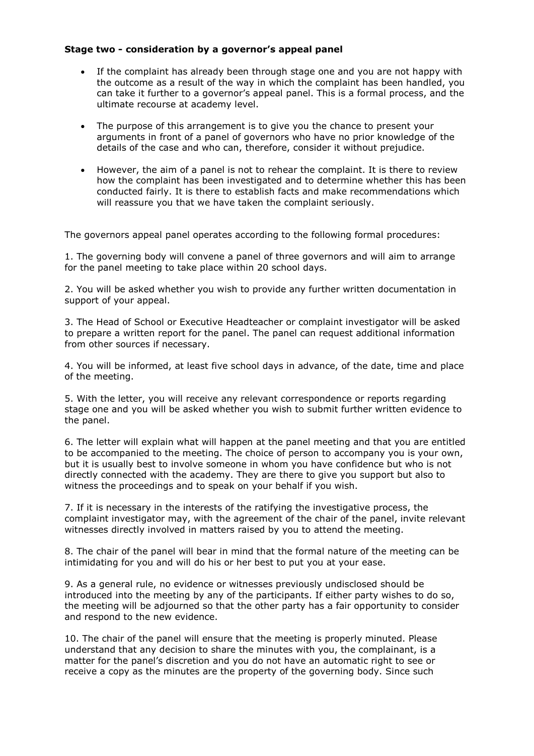#### **Stage two - consideration by a governor's appeal panel**

- If the complaint has already been through stage one and you are not happy with the outcome as a result of the way in which the complaint has been handled, you can take it further to a governor's appeal panel. This is a formal process, and the ultimate recourse at academy level.
- The purpose of this arrangement is to give you the chance to present your arguments in front of a panel of governors who have no prior knowledge of the details of the case and who can, therefore, consider it without prejudice.
- However, the aim of a panel is not to rehear the complaint. It is there to review how the complaint has been investigated and to determine whether this has been conducted fairly. It is there to establish facts and make recommendations which will reassure you that we have taken the complaint seriously.

The governors appeal panel operates according to the following formal procedures:

1. The governing body will convene a panel of three governors and will aim to arrange for the panel meeting to take place within 20 school days.

2. You will be asked whether you wish to provide any further written documentation in support of your appeal.

3. The Head of School or Executive Headteacher or complaint investigator will be asked to prepare a written report for the panel. The panel can request additional information from other sources if necessary.

4. You will be informed, at least five school days in advance, of the date, time and place of the meeting.

5. With the letter, you will receive any relevant correspondence or reports regarding stage one and you will be asked whether you wish to submit further written evidence to the panel.

6. The letter will explain what will happen at the panel meeting and that you are entitled to be accompanied to the meeting. The choice of person to accompany you is your own, but it is usually best to involve someone in whom you have confidence but who is not directly connected with the academy. They are there to give you support but also to witness the proceedings and to speak on your behalf if you wish.

7. If it is necessary in the interests of the ratifying the investigative process, the complaint investigator may, with the agreement of the chair of the panel, invite relevant witnesses directly involved in matters raised by you to attend the meeting.

8. The chair of the panel will bear in mind that the formal nature of the meeting can be intimidating for you and will do his or her best to put you at your ease.

9. As a general rule, no evidence or witnesses previously undisclosed should be introduced into the meeting by any of the participants. If either party wishes to do so, the meeting will be adjourned so that the other party has a fair opportunity to consider and respond to the new evidence.

10. The chair of the panel will ensure that the meeting is properly minuted. Please understand that any decision to share the minutes with you, the complainant, is a matter for the panel's discretion and you do not have an automatic right to see or receive a copy as the minutes are the property of the governing body. Since such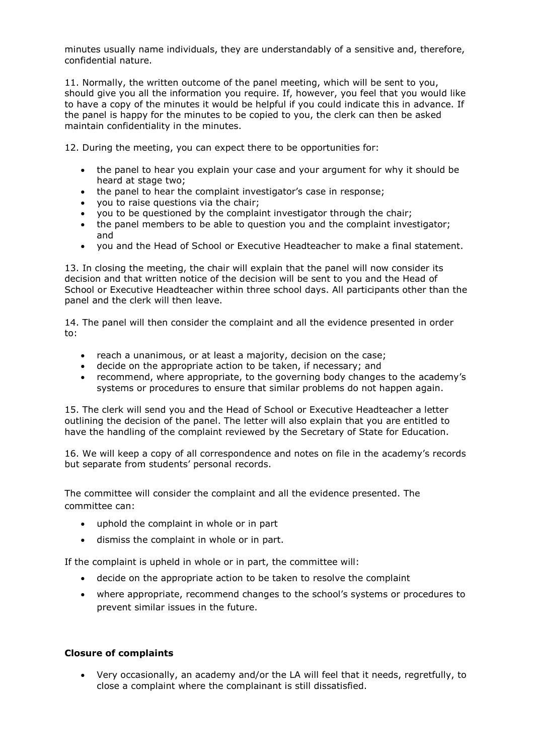minutes usually name individuals, they are understandably of a sensitive and, therefore, confidential nature.

11. Normally, the written outcome of the panel meeting, which will be sent to you, should give you all the information you require. If, however, you feel that you would like to have a copy of the minutes it would be helpful if you could indicate this in advance. If the panel is happy for the minutes to be copied to you, the clerk can then be asked maintain confidentiality in the minutes.

12. During the meeting, you can expect there to be opportunities for:

- the panel to hear you explain your case and your argument for why it should be heard at stage two;
- the panel to hear the complaint investigator's case in response;
- you to raise questions via the chair;
- you to be questioned by the complaint investigator through the chair;
- the panel members to be able to question you and the complaint investigator; and
- you and the Head of School or Executive Headteacher to make a final statement.

13. In closing the meeting, the chair will explain that the panel will now consider its decision and that written notice of the decision will be sent to you and the Head of School or Executive Headteacher within three school days. All participants other than the panel and the clerk will then leave.

14. The panel will then consider the complaint and all the evidence presented in order to:

- reach a unanimous, or at least a majority, decision on the case;
- decide on the appropriate action to be taken, if necessary; and
- recommend, where appropriate, to the governing body changes to the academy's systems or procedures to ensure that similar problems do not happen again.

15. The clerk will send you and the Head of School or Executive Headteacher a letter outlining the decision of the panel. The letter will also explain that you are entitled to have the handling of the complaint reviewed by the Secretary of State for Education.

16. We will keep a copy of all correspondence and notes on file in the academy's records but separate from students' personal records.

The committee will consider the complaint and all the evidence presented. The committee can:

- uphold the complaint in whole or in part
- dismiss the complaint in whole or in part.

If the complaint is upheld in whole or in part, the committee will:

- decide on the appropriate action to be taken to resolve the complaint
- where appropriate, recommend changes to the school's systems or procedures to prevent similar issues in the future.

#### **Closure of complaints**

• Very occasionally, an academy and/or the LA will feel that it needs, regretfully, to close a complaint where the complainant is still dissatisfied.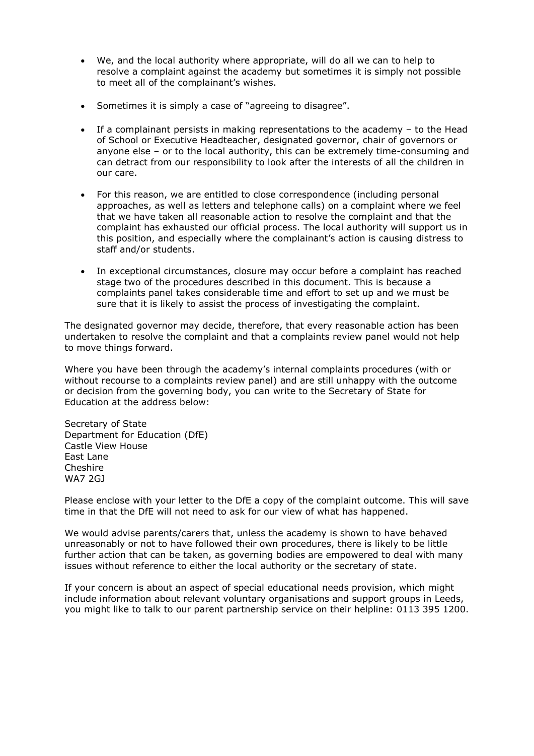- We, and the local authority where appropriate, will do all we can to help to resolve a complaint against the academy but sometimes it is simply not possible to meet all of the complainant's wishes.
- Sometimes it is simply a case of "agreeing to disagree".
- If a complainant persists in making representations to the academy to the Head of School or Executive Headteacher, designated governor, chair of governors or anyone else – or to the local authority, this can be extremely time-consuming and can detract from our responsibility to look after the interests of all the children in our care.
- For this reason, we are entitled to close correspondence (including personal approaches, as well as letters and telephone calls) on a complaint where we feel that we have taken all reasonable action to resolve the complaint and that the complaint has exhausted our official process. The local authority will support us in this position, and especially where the complainant's action is causing distress to staff and/or students.
- In exceptional circumstances, closure may occur before a complaint has reached stage two of the procedures described in this document. This is because a complaints panel takes considerable time and effort to set up and we must be sure that it is likely to assist the process of investigating the complaint.

The designated governor may decide, therefore, that every reasonable action has been undertaken to resolve the complaint and that a complaints review panel would not help to move things forward.

Where you have been through the academy's internal complaints procedures (with or without recourse to a complaints review panel) and are still unhappy with the outcome or decision from the governing body, you can write to the Secretary of State for Education at the address below:

Secretary of State Department for Education (DfE) Castle View House East Lane Cheshire WA7 2GJ

Please enclose with your letter to the DfE a copy of the complaint outcome. This will save time in that the DfE will not need to ask for our view of what has happened.

We would advise parents/carers that, unless the academy is shown to have behaved unreasonably or not to have followed their own procedures, there is likely to be little further action that can be taken, as governing bodies are empowered to deal with many issues without reference to either the local authority or the secretary of state.

If your concern is about an aspect of special educational needs provision, which might include information about relevant voluntary organisations and support groups in Leeds, you might like to talk to our parent partnership service on their helpline: 0113 395 1200.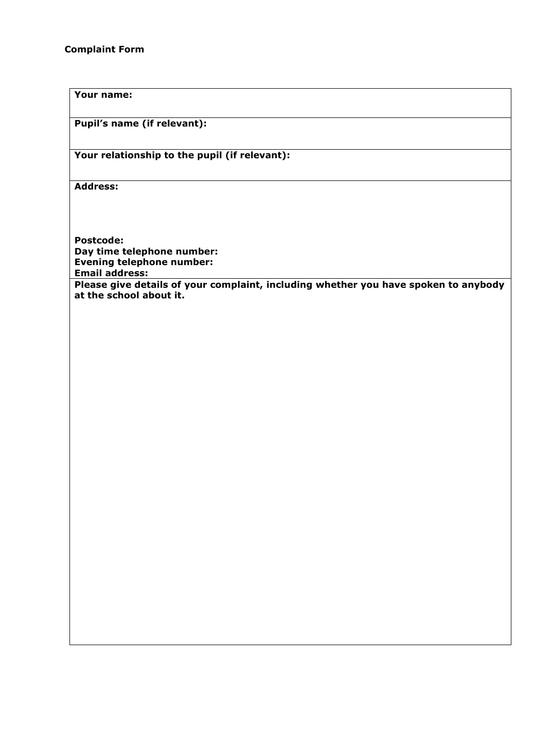# **Your name:**

**Pupil's name (if relevant):**

# **Your relationship to the pupil (if relevant):**

**Address:** 

**Postcode: Day time telephone number: Evening telephone number: Email address:**

**Please give details of your complaint, including whether you have spoken to anybody at the school about it.**